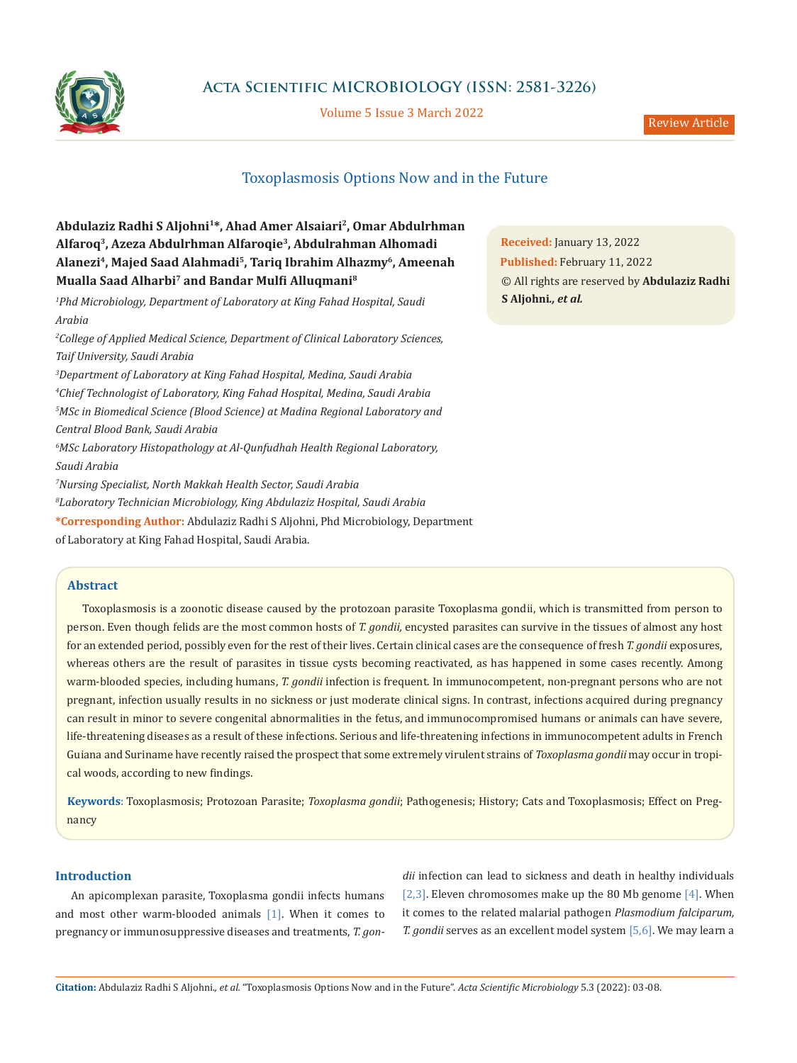

**Acta Scientific MICROBIOLOGY (ISSN: 2581-3226)**

Volume 5 Issue 3 March 2022

# Toxoplasmosis Options Now and in the Future

# **Abdulaziz Radhi S Aljohni1\*, Ahad Amer Alsaiari2, Omar Abdulrhman Alfaroq3, Azeza Abdulrhman Alfaroqie3, Abdulrahman Alhomadi Alanezi4, Majed Saad Alahmadi5, Tariq Ibrahim Alhazmy6, Ameenah Mualla Saad Alharbi7 and Bandar Mulfi Alluqmani<sup>8</sup>**

*1 Phd Microbiology, Department of Laboratory at King Fahad Hospital, Saudi Arabia*

*2 College of Applied Medical Science, Department of Clinical Laboratory Sciences, Taif University, Saudi Arabia*

 *Department of Laboratory at King Fahad Hospital, Medina, Saudi Arabia Chief Technologist of Laboratory, King Fahad Hospital, Medina, Saudi Arabia MSc in Biomedical Science (Blood Science) at Madina Regional Laboratory and Central Blood Bank, Saudi Arabia MSc Laboratory Histopathology at Al-Qunfudhah Health Regional Laboratory, Saudi Arabia Nursing Specialist, North Makkah Health Sector, Saudi Arabia*

*8 Laboratory Technician Microbiology, King Abdulaziz Hospital, Saudi Arabia*

**\*Corresponding Author:** Abdulaziz Radhi S Aljohni, Phd Microbiology, Department

of Laboratory at King Fahad Hospital, Saudi Arabia.

## **Abstract**

Toxoplasmosis is a zoonotic disease caused by the protozoan parasite Toxoplasma gondii, which is transmitted from person to person. Even though felids are the most common hosts of *T. gondii,* encysted parasites can survive in the tissues of almost any host for an extended period, possibly even for the rest of their lives. Certain clinical cases are the consequence of fresh *T. gondii* exposures, whereas others are the result of parasites in tissue cysts becoming reactivated, as has happened in some cases recently. Among warm-blooded species, including humans, *T. gondii* infection is frequent. In immunocompetent, non-pregnant persons who are not pregnant, infection usually results in no sickness or just moderate clinical signs. In contrast, infections acquired during pregnancy can result in minor to severe congenital abnormalities in the fetus, and immunocompromised humans or animals can have severe, life-threatening diseases as a result of these infections. Serious and life-threatening infections in immunocompetent adults in French Guiana and Suriname have recently raised the prospect that some extremely virulent strains of *Toxoplasma gondii* may occur in tropical woods, according to new findings.

**Keywords**: Toxoplasmosis; Protozoan Parasite; *Toxoplasma gondii*; Pathogenesis; History; Cats and Toxoplasmosis; Effect on Pregnancy

## **Introduction**

An apicomplexan parasite, Toxoplasma gondii infects humans and most other warm-blooded animals [1]. When it comes to pregnancy or immunosuppressive diseases and treatments, *T. gon-* *dii* infection can lead to sickness and death in healthy individuals [2,3]. Eleven chromosomes make up the 80 Mb genome [4]. When it comes to the related malarial pathogen *Plasmodium falciparum, T. gondii* serves as an excellent model system [5,6]. We may learn a

**Received:** January 13, 2022 **Published:** February 11, 2022 © All rights are reserved by **Abdulaziz Radhi S Aljohni***., et al.*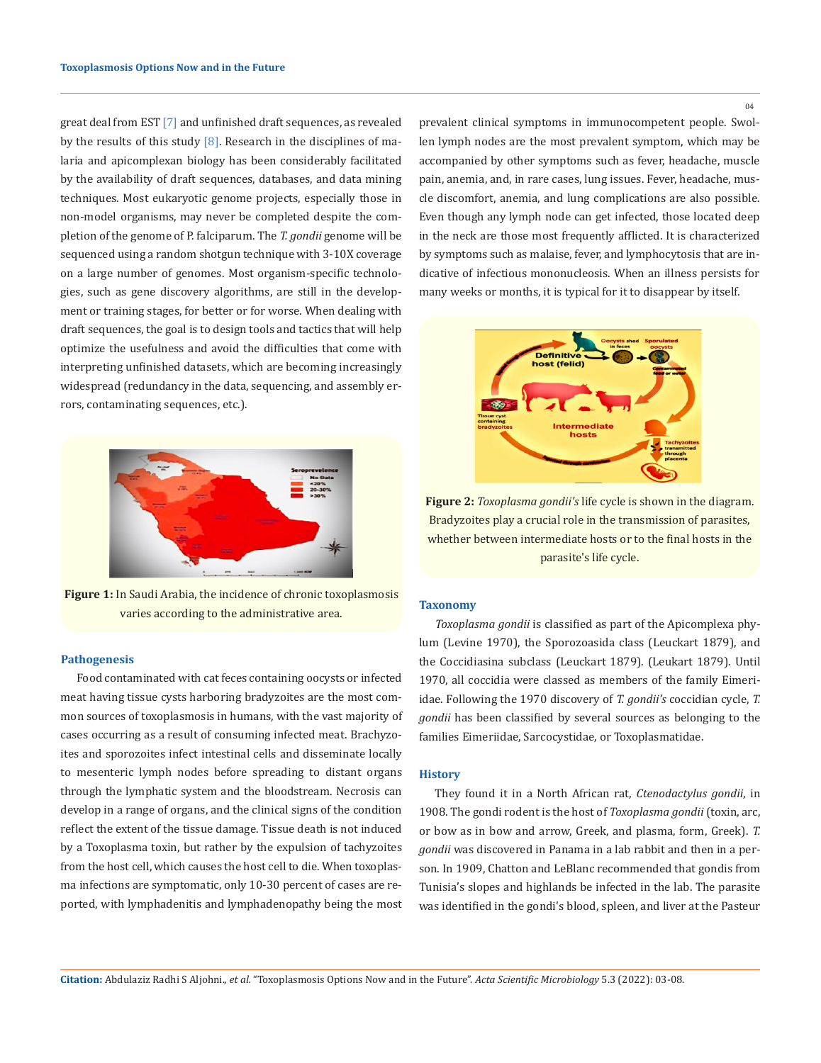great deal from EST [7] and unfinished draft sequences, as revealed by the results of this study  $[8]$ . Research in the disciplines of malaria and apicomplexan biology has been considerably facilitated by the availability of draft sequences, databases, and data mining techniques. Most eukaryotic genome projects, especially those in non-model organisms, may never be completed despite the completion of the genome of P. falciparum. The *T. gondii* genome will be sequenced using a random shotgun technique with 3-10X coverage on a large number of genomes. Most organism-specific technologies, such as gene discovery algorithms, are still in the development or training stages, for better or for worse. When dealing with draft sequences, the goal is to design tools and tactics that will help optimize the usefulness and avoid the difficulties that come with interpreting unfinished datasets, which are becoming increasingly widespread (redundancy in the data, sequencing, and assembly errors, contaminating sequences, etc.).



**Figure 1:** In Saudi Arabia, the incidence of chronic toxoplasmosis varies according to the administrative area.

## **Pathogenesis**

Food contaminated with cat feces containing oocysts or infected meat having tissue cysts harboring bradyzoites are the most common sources of toxoplasmosis in humans, with the vast majority of cases occurring as a result of consuming infected meat. Brachyzoites and sporozoites infect intestinal cells and disseminate locally to mesenteric lymph nodes before spreading to distant organs through the lymphatic system and the bloodstream. Necrosis can develop in a range of organs, and the clinical signs of the condition reflect the extent of the tissue damage. Tissue death is not induced by a Toxoplasma toxin, but rather by the expulsion of tachyzoites from the host cell, which causes the host cell to die. When toxoplasma infections are symptomatic, only 10-30 percent of cases are reported, with lymphadenitis and lymphadenopathy being the most prevalent clinical symptoms in immunocompetent people. Swollen lymph nodes are the most prevalent symptom, which may be accompanied by other symptoms such as fever, headache, muscle pain, anemia, and, in rare cases, lung issues. Fever, headache, muscle discomfort, anemia, and lung complications are also possible. Even though any lymph node can get infected, those located deep in the neck are those most frequently afflicted. It is characterized by symptoms such as malaise, fever, and lymphocytosis that are indicative of infectious mononucleosis. When an illness persists for many weeks or months, it is typical for it to disappear by itself.



**Figure 2:** *Toxoplasma gondii's* life cycle is shown in the diagram. Bradyzoites play a crucial role in the transmission of parasites, whether between intermediate hosts or to the final hosts in the parasite's life cycle.

#### **Taxonomy**

*Toxoplasma gondii* is classified as part of the Apicomplexa phylum (Levine 1970), the Sporozoasida class (Leuckart 1879), and the Coccidiasina subclass (Leuckart 1879). (Leukart 1879). Until 1970, all coccidia were classed as members of the family Eimeriidae. Following the 1970 discovery of *T. gondii's* coccidian cycle, *T. gondii* has been classified by several sources as belonging to the families Eimeriidae, Sarcocystidae, or Toxoplasmatidae.

## **History**

They found it in a North African rat, *Ctenodactylus gondii*, in 1908. The gondi rodent is the host of *Toxoplasma gondii* (toxin, arc, or bow as in bow and arrow, Greek, and plasma, form, Greek). *T. gondii* was discovered in Panama in a lab rabbit and then in a person. In 1909, Chatton and LeBlanc recommended that gondis from Tunisia's slopes and highlands be infected in the lab. The parasite was identified in the gondi's blood, spleen, and liver at the Pasteur

04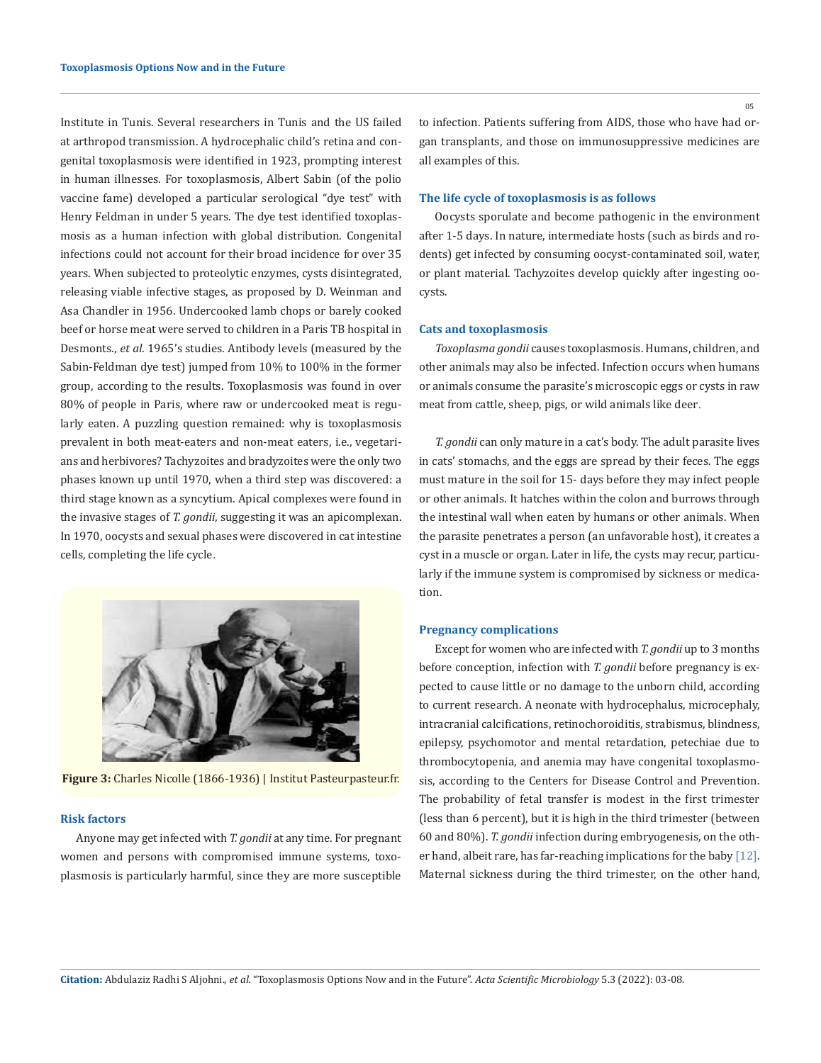Institute in Tunis. Several researchers in Tunis and the US failed at arthropod transmission. A hydrocephalic child's retina and congenital toxoplasmosis were identified in 1923, prompting interest in human illnesses. For toxoplasmosis, Albert Sabin (of the polio vaccine fame) developed a particular serological "dye test" with Henry Feldman in under 5 years. The dye test identified toxoplasmosis as a human infection with global distribution. Congenital infections could not account for their broad incidence for over 35 years. When subjected to proteolytic enzymes, cysts disintegrated, releasing viable infective stages, as proposed by D. Weinman and Asa Chandler in 1956. Undercooked lamb chops or barely cooked beef or horse meat were served to children in a Paris TB hospital in Desmonts., *et al.* 1965's studies. Antibody levels (measured by the Sabin-Feldman dye test) jumped from 10% to 100% in the former group, according to the results. Toxoplasmosis was found in over 80% of people in Paris, where raw or undercooked meat is regularly eaten. A puzzling question remained: why is toxoplasmosis prevalent in both meat-eaters and non-meat eaters, i.e., vegetarians and herbivores? Tachyzoites and bradyzoites were the only two phases known up until 1970, when a third step was discovered: a third stage known as a syncytium. Apical complexes were found in the invasive stages of *T. gondii*, suggesting it was an apicomplexan. In 1970, oocysts and sexual phases were discovered in cat intestine cells, completing the life cycle.



**Figure 3:** Charles Nicolle (1866-1936) | Institut Pasteurpasteur.fr.

### **Risk factors**

Anyone may get infected with *T. gondii* at any time. For pregnant women and persons with compromised immune systems, toxoplasmosis is particularly harmful, since they are more susceptible to infection. Patients suffering from AIDS, those who have had organ transplants, and those on immunosuppressive medicines are all examples of this.

## **The life cycle of toxoplasmosis is as follows**

Oocysts sporulate and become pathogenic in the environment after 1-5 days. In nature, intermediate hosts (such as birds and rodents) get infected by consuming oocyst-contaminated soil, water, or plant material. Tachyzoites develop quickly after ingesting oocysts.

#### **Cats and toxoplasmosis**

*Toxoplasma gondii* causes toxoplasmosis. Humans, children, and other animals may also be infected. Infection occurs when humans or animals consume the parasite's microscopic eggs or cysts in raw meat from cattle, sheep, pigs, or wild animals like deer.

*T. gondii* can only mature in a cat's body. The adult parasite lives in cats' stomachs, and the eggs are spread by their feces. The eggs must mature in the soil for 15- days before they may infect people or other animals. It hatches within the colon and burrows through the intestinal wall when eaten by humans or other animals. When the parasite penetrates a person (an unfavorable host), it creates a cyst in a muscle or organ. Later in life, the cysts may recur, particularly if the immune system is compromised by sickness or medication.

#### **Pregnancy complications**

Except for women who are infected with *T. gondii* up to 3 months before conception, infection with *T. gondii* before pregnancy is expected to cause little or no damage to the unborn child, according to current research. A neonate with hydrocephalus, microcephaly, intracranial calcifications, retinochoroiditis, strabismus, blindness, epilepsy, psychomotor and mental retardation, petechiae due to thrombocytopenia, and anemia may have congenital toxoplasmosis, according to the Centers for Disease Control and Prevention. The probability of fetal transfer is modest in the first trimester (less than 6 percent), but it is high in the third trimester (between 60 and 80%). *T. gondii* infection during embryogenesis, on the other hand, albeit rare, has far-reaching implications for the baby [12]. Maternal sickness during the third trimester, on the other hand,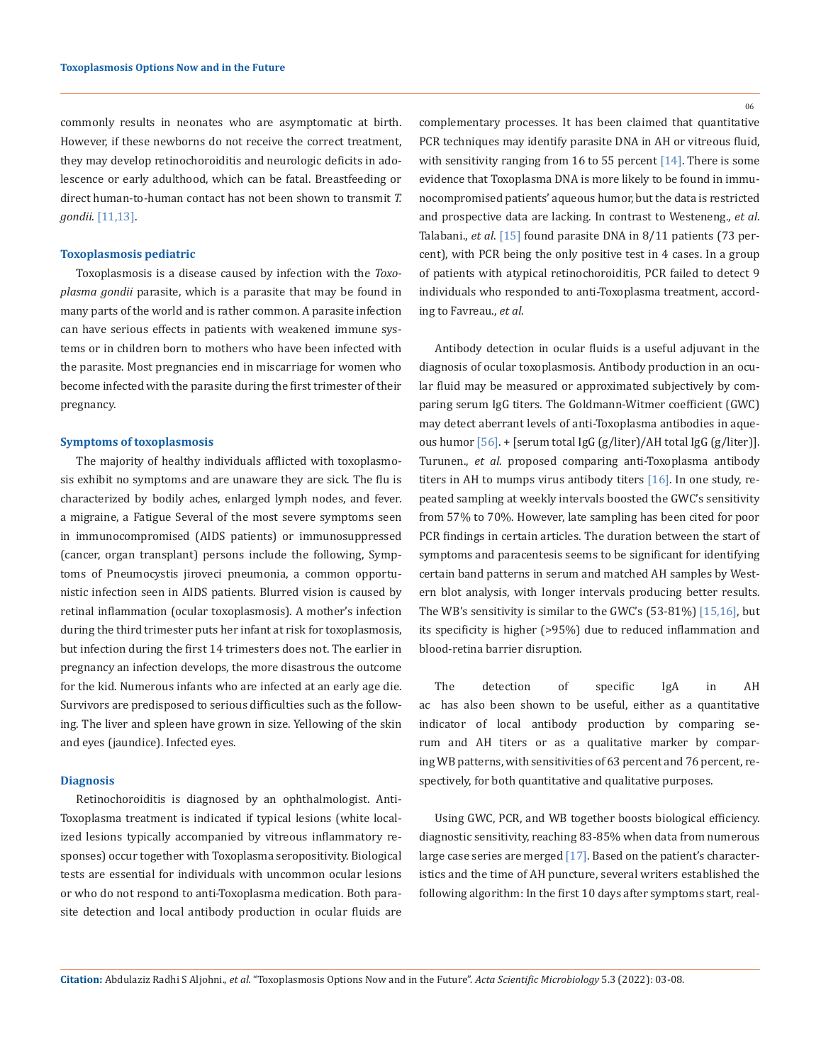commonly results in neonates who are asymptomatic at birth. However, if these newborns do not receive the correct treatment, they may develop retinochoroiditis and neurologic deficits in adolescence or early adulthood, which can be fatal. Breastfeeding or direct human-to-human contact has not been shown to transmit *T. gondii*. [11,13].

#### **Toxoplasmosis pediatric**

Toxoplasmosis is a disease caused by infection with the *Toxoplasma gondii* parasite, which is a parasite that may be found in many parts of the world and is rather common. A parasite infection can have serious effects in patients with weakened immune systems or in children born to mothers who have been infected with the parasite. Most pregnancies end in miscarriage for women who become infected with the parasite during the first trimester of their pregnancy.

#### **Symptoms of toxoplasmosis**

The majority of healthy individuals afflicted with toxoplasmosis exhibit no symptoms and are unaware they are sick. The flu is characterized by bodily aches, enlarged lymph nodes, and fever. a migraine, a Fatigue Several of the most severe symptoms seen in immunocompromised (AIDS patients) or immunosuppressed (cancer, organ transplant) persons include the following, Symptoms of Pneumocystis jiroveci pneumonia, a common opportunistic infection seen in AIDS patients. Blurred vision is caused by retinal inflammation (ocular toxoplasmosis). A mother's infection during the third trimester puts her infant at risk for toxoplasmosis, but infection during the first 14 trimesters does not. The earlier in pregnancy an infection develops, the more disastrous the outcome for the kid. Numerous infants who are infected at an early age die. Survivors are predisposed to serious difficulties such as the following. The liver and spleen have grown in size. Yellowing of the skin and eyes (jaundice). Infected eyes.

#### **Diagnosis**

Retinochoroiditis is diagnosed by an ophthalmologist. Anti-Toxoplasma treatment is indicated if typical lesions (white localized lesions typically accompanied by vitreous inflammatory responses) occur together with Toxoplasma seropositivity. Biological tests are essential for individuals with uncommon ocular lesions or who do not respond to anti-Toxoplasma medication. Both parasite detection and local antibody production in ocular fluids are

06

complementary processes. It has been claimed that quantitative PCR techniques may identify parasite DNA in AH or vitreous fluid, with sensitivity ranging from 16 to 55 percent [14]. There is some evidence that Toxoplasma DNA is more likely to be found in immunocompromised patients' aqueous humor, but the data is restricted and prospective data are lacking. In contrast to Westeneng., *et al*. Talabani., *et al*. [15] found parasite DNA in 8/11 patients (73 percent), with PCR being the only positive test in 4 cases. In a group of patients with atypical retinochoroiditis, PCR failed to detect 9 individuals who responded to anti-Toxoplasma treatment, according to Favreau., *et al*.

Antibody detection in ocular fluids is a useful adjuvant in the diagnosis of ocular toxoplasmosis. Antibody production in an ocular fluid may be measured or approximated subjectively by comparing serum IgG titers. The Goldmann-Witmer coefficient (GWC) may detect aberrant levels of anti-Toxoplasma antibodies in aqueous humor [56]. + [serum total IgG (g/liter)/AH total IgG (g/liter)]. Turunen., *et al*. proposed comparing anti-Toxoplasma antibody titers in AH to mumps virus antibody titers [16]. In one study, repeated sampling at weekly intervals boosted the GWC's sensitivity from 57% to 70%. However, late sampling has been cited for poor PCR findings in certain articles. The duration between the start of symptoms and paracentesis seems to be significant for identifying certain band patterns in serum and matched AH samples by Western blot analysis, with longer intervals producing better results. The WB's sensitivity is similar to the GWC's (53-81%) [15,16], but its specificity is higher (>95%) due to reduced inflammation and blood-retina barrier disruption.

The detection of specific IgA in AH ac has also been shown to be useful, either as a quantitative indicator of local antibody production by comparing serum and AH titers or as a qualitative marker by comparing WB patterns, with sensitivities of 63 percent and 76 percent, respectively, for both quantitative and qualitative purposes.

Using GWC, PCR, and WB together boosts biological efficiency. diagnostic sensitivity, reaching 83-85% when data from numerous large case series are merged [17]. Based on the patient's characteristics and the time of AH puncture, several writers established the following algorithm: In the first 10 days after symptoms start, real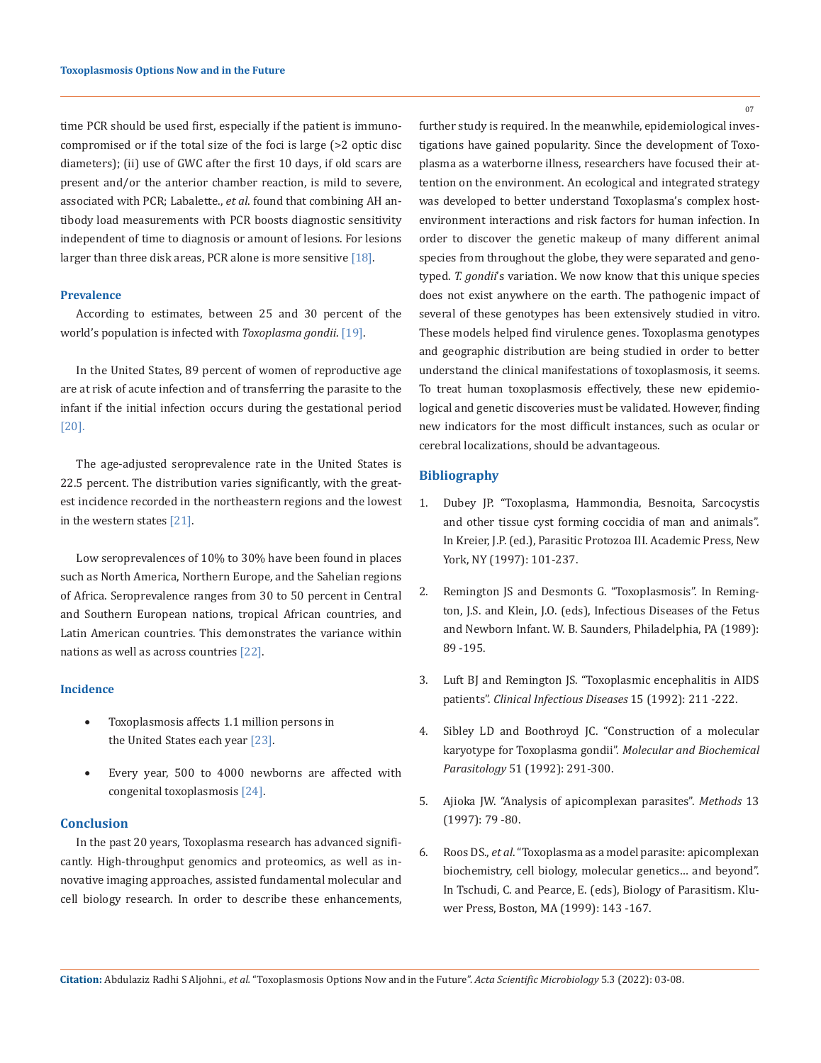time PCR should be used first, especially if the patient is immunocompromised or if the total size of the foci is large (>2 optic disc diameters); (ii) use of GWC after the first 10 days, if old scars are present and/or the anterior chamber reaction, is mild to severe, associated with PCR; Labalette., *et al*. found that combining AH antibody load measurements with PCR boosts diagnostic sensitivity independent of time to diagnosis or amount of lesions. For lesions larger than three disk areas, PCR alone is more sensitive [18].

#### **Prevalence**

According to estimates, between 25 and 30 percent of the world's population is infected with *Toxoplasma gondii*. [19].

In the United States, 89 percent of women of reproductive age are at risk of acute infection and of transferring the parasite to the infant if the initial infection occurs during the gestational period [20].

The age-adjusted seroprevalence rate in the United States is 22.5 percent. The distribution varies significantly, with the greatest incidence recorded in the northeastern regions and the lowest in the western states [21].

Low seroprevalences of 10% to 30% have been found in places such as North America, Northern Europe, and the Sahelian regions of Africa. Seroprevalence ranges from 30 to 50 percent in Central and Southern European nations, tropical African countries, and Latin American countries. This demonstrates the variance within nations as well as across countries [22].

## **Incidence**

- Toxoplasmosis affects 1.1 million persons in the United States each year [23].
- Every year, 500 to 4000 newborns are affected with congenital toxoplasmosis [24].

#### **Conclusion**

In the past 20 years, Toxoplasma research has advanced significantly. High-throughput genomics and proteomics, as well as innovative imaging approaches, assisted fundamental molecular and cell biology research. In order to describe these enhancements, further study is required. In the meanwhile, epidemiological investigations have gained popularity. Since the development of Toxoplasma as a waterborne illness, researchers have focused their attention on the environment. An ecological and integrated strategy was developed to better understand Toxoplasma's complex hostenvironment interactions and risk factors for human infection. In order to discover the genetic makeup of many different animal species from throughout the globe, they were separated and genotyped. *T. gondii*'s variation. We now know that this unique species does not exist anywhere on the earth. The pathogenic impact of several of these genotypes has been extensively studied in vitro. These models helped find virulence genes. Toxoplasma genotypes and geographic distribution are being studied in order to better understand the clinical manifestations of toxoplasmosis, it seems. To treat human toxoplasmosis effectively, these new epidemiological and genetic discoveries must be validated. However, finding new indicators for the most difficult instances, such as ocular or cerebral localizations, should be advantageous.

## **Bibliography**

- 1. Dubey JP. "Toxoplasma, Hammondia, Besnoita, Sarcocystis and other tissue cyst forming coccidia of man and animals". In Kreier, J.P. (ed.), Parasitic Protozoa III. Academic Press, New York, NY (1997): 101-237.
- 2. Remington JS and Desmonts G. "Toxoplasmosis". In Remington, J.S. and Klein, J.O. (eds), Infectious Diseases of the Fetus and Newborn Infant. W. B. Saunders, Philadelphia, PA (1989): 89 -195.
- 3. Luft BJ and Remington JS. "Toxoplasmic encephalitis in AIDS patients". *Clinical Infectious Diseases* 15 (1992): 211 -222.
- 4. Sibley LD and Boothroyd JC. "Construction of a molecular karyotype for Toxoplasma gondii". *Molecular and Biochemical Parasitology* 51 (1992): 291-300.
- 5. Ajioka JW. "Analysis of apicomplexan parasites". *Methods* 13 (1997): 79 -80.
- 6. Roos DS., *et al*. "Toxoplasma as a model parasite: apicomplexan biochemistry, cell biology, molecular genetics… and beyond". In Tschudi, C. and Pearce, E. (eds), Biology of Parasitism. Kluwer Press, Boston, MA (1999): 143 -167.